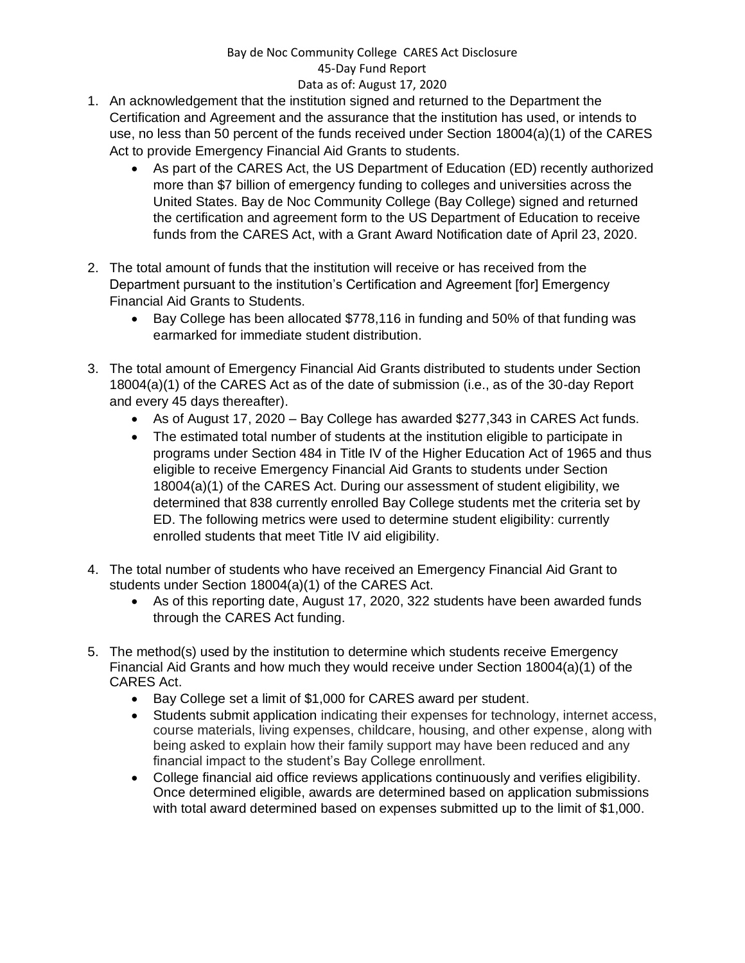## Bay de Noc Community College CARES Act Disclosure 45-Day Fund Report Data as of: August 17, 2020

- 1. An acknowledgement that the institution signed and returned to the Department the Certification and Agreement and the assurance that the institution has used, or intends to use, no less than 50 percent of the funds received under Section 18004(a)(1) of the CARES Act to provide Emergency Financial Aid Grants to students.
	- As part of the CARES Act, the US Department of Education (ED) recently authorized more than \$7 billion of emergency funding to colleges and universities across the United States. Bay de Noc Community College (Bay College) signed and returned the certification and agreement form to the US Department of Education to receive funds from the CARES Act, with a Grant Award Notification date of April 23, 2020.
- 2. The total amount of funds that the institution will receive or has received from the Department pursuant to the institution's Certification and Agreement [for] Emergency Financial Aid Grants to Students.
	- Bay College has been allocated \$778,116 in funding and 50% of that funding was earmarked for immediate student distribution.
- 3. The total amount of Emergency Financial Aid Grants distributed to students under Section 18004(a)(1) of the CARES Act as of the date of submission (i.e., as of the 30-day Report and every 45 days thereafter).
	- As of August 17, 2020 Bay College has awarded \$277,343 in CARES Act funds.
	- The estimated total number of students at the institution eligible to participate in programs under Section 484 in Title IV of the Higher Education Act of 1965 and thus eligible to receive Emergency Financial Aid Grants to students under Section 18004(a)(1) of the CARES Act. During our assessment of student eligibility, we determined that 838 currently enrolled Bay College students met the criteria set by ED. The following metrics were used to determine student eligibility: currently enrolled students that meet Title IV aid eligibility.
- 4. The total number of students who have received an Emergency Financial Aid Grant to students under Section 18004(a)(1) of the CARES Act.
	- As of this reporting date, August 17, 2020, 322 students have been awarded funds through the CARES Act funding.
- 5. The method(s) used by the institution to determine which students receive Emergency Financial Aid Grants and how much they would receive under Section 18004(a)(1) of the CARES Act.
	- Bay College set a limit of \$1,000 for CARES award per student.
	- Students submit application indicating their expenses for technology, internet access, course materials, living expenses, childcare, housing, and other expense, along with being asked to explain how their family support may have been reduced and any financial impact to the student's Bay College enrollment.
	- College financial aid office reviews applications continuously and verifies eligibility. Once determined eligible, awards are determined based on application submissions with total award determined based on expenses submitted up to the limit of \$1,000.